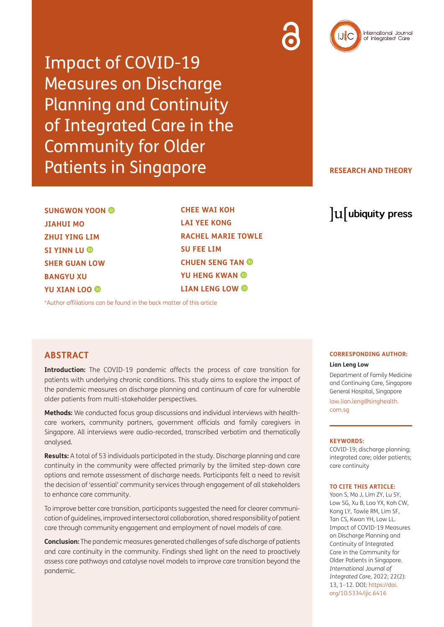Impact of COVID-19 Measures on Discharge Planning and Continuity of Integrated Care in the Community for Older Patients in Singapore

### **RESEARCH AND THEORY**

**SUNGWON YOON JIAHUI MO ZHUI YING LIM SI YINN LU SHER GUAN LOW BANGYU XU YU XIAN LOO**

**CHEE WAI KOH LAI YEE KONG RACHEL MARIE TOWLE SU FEE LIM CHUEN SENG TAN YU HENG KWAN LIAN LENG LOW**

[\\*Author affiliations can be found in the back matter of this article](#page-8-0)

### **ABSTRACT**

**Introduction:** The COVID-19 pandemic affects the process of care transition for patients with underlying chronic conditions. This study aims to explore the impact of the pandemic measures on discharge planning and continuum of care for vulnerable older patients from multi-stakeholder perspectives.

**Methods:** We conducted focus group discussions and individual interviews with healthcare workers, community partners, government officials and family caregivers in Singapore. All interviews were audio-recorded, transcribed verbatim and thematically analysed.

**Results:** A total of 53 individuals participated in the study. Discharge planning and care continuity in the community were affected primarily by the limited step-down care options and remote assessment of discharge needs. Participants felt a need to revisit the decision of 'essential' community services through engagement of all stakeholders to enhance care community.

To improve better care transition, participants suggested the need for clearer communication of guidelines, improved intersectoral collaboration, shared responsibility of patient care through community engagement and employment of novel models of care.

**Conclusion:** The pandemic measures generated challenges of safe discharge of patients and care continuity in the community. Findings shed light on the need to proactively assess care pathways and catalyse novel models to improve care transition beyond the pandemic.

# lu ubiquity press

# **CORRESPONDING AUTHOR:**

#### **Lian Leng Low**

Department of Family Medicine and Continuing Care, Singapore General Hospital, Singapore

[low.lian.leng@singhealth.](mailto:low.lian.leng@singhealth.com.sg) [com.sg](mailto:low.lian.leng@singhealth.com.sg)

#### **KEYWORDS:**

COVID-19; discharge planning; integrated care; older patients; care continuity

#### **TO CITE THIS ARTICLE:**

Yoon S, Mo J, Lim ZY, Lu SY, Low SG, Xu B, Loo YX, Koh CW, Kong LY, Towle RM, Lim SF, Tan CS, Kwan YH, Low LL. Impact of COVID-19 Measures on Discharge Planning and Continuity of Integrated Care in the Community for Older Patients in Singapore. *International Journal of Integrated Care,* 2022; 22(2): 13, 1–12. DOI: [https://doi.](https://doi.org/10.5334/ijic.6416) [org/10.5334/ijic.6416](https://doi.org/10.5334/ijic.6416)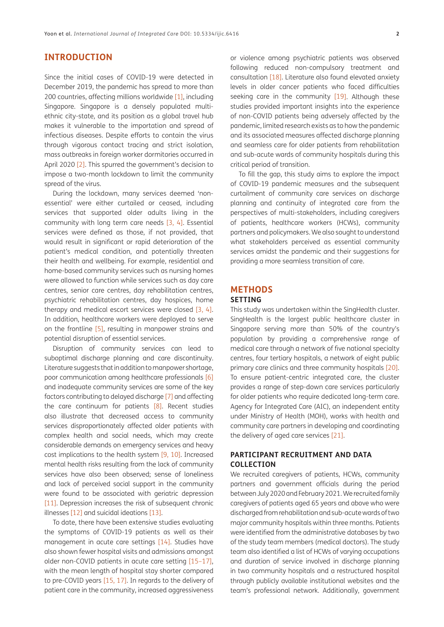# **INTRODUCTION**

Since the initial cases of COVID-19 were detected in December 2019, the pandemic has spread to more than 200 countries, affecting millions worldwide [\[1](#page-9-0)], including Singapore. Singapore is a densely populated multiethnic city-state, and its position as a global travel hub makes it vulnerable to the importation and spread of infectious diseases. Despite efforts to contain the virus through vigorous contact tracing and strict isolation, mass outbreaks in foreign worker dormitories occurred in April 2020 [[2\]](#page-9-1). This spurred the government's decision to impose a two-month lockdown to limit the community spread of the virus.

During the lockdown, many services deemed 'nonessential' were either curtailed or ceased, including services that supported older adults living in the community with long term care needs [\[3](#page-9-2), [4](#page-9-3)]. Essential services were defined as those, if not provided, that would result in significant or rapid deterioration of the patient's medical condition, and potentially threaten their health and wellbeing. For example, residential and home-based community services such as nursing homes were allowed to function while services such as day care centres, senior care centres, day rehabilitation centres, psychiatric rehabilitation centres, day hospices, home therapy and medical escort services were closed [\[3,](#page-9-2) [4](#page-9-3)]. In addition, healthcare workers were deployed to serve on the frontline [\[5\]](#page-9-4), resulting in manpower strains and potential disruption of essential services.

Disruption of community services can lead to suboptimal discharge planning and care discontinuity. Literature suggests that in addition to manpower shortage, poor communication among healthcare professionals [\[6](#page-9-5)] and inadequate community services are some of the key factors contributing to delayed discharge [\[7](#page-9-6)] and affecting the care continuum for patients [\[8](#page-9-7)]. Recent studies also illustrate that decreased access to community services disproportionately affected older patients with complex health and social needs, which may create considerable demands on emergency services and heavy cost implications to the health system [\[9](#page-9-8), [10](#page-9-9)]. Increased mental health risks resulting from the lack of community services have also been observed; sense of loneliness and lack of perceived social support in the community were found to be associated with geriatric depression [\[11\]](#page-9-10). Depression increases the risk of subsequent chronic illnesses [\[12\]](#page-9-11) and suicidal ideations [\[13](#page-9-12)].

To date, there have been extensive studies evaluating the symptoms of COVID-19 patients as well as their management in acute care settings [[14](#page-9-13)]. Studies have also shown fewer hospital visits and admissions amongst older non-COVID patients in acute care setting [\[15](#page-9-14)–[17](#page-9-15)], with the mean length of hospital stay shorter compared to pre-COVID years [[15,](#page-9-14) [17\]](#page-9-15). In regards to the delivery of patient care in the community, increased aggressiveness or violence among psychiatric patients was observed following reduced non-compulsory treatment and consultation [[18\]](#page-9-16). Literature also found elevated anxiety levels in older cancer patients who faced difficulties seeking care in the community [\[19\]](#page-10-0). Although these studies provided important insights into the experience of non-COVID patients being adversely affected by the pandemic, limited research exists as to how the pandemic and its associated measures affected discharge planning and seamless care for older patients from rehabilitation and sub-acute wards of community hospitals during this critical period of transition.

To fill the gap, this study aims to explore the impact of COVID-19 pandemic measures and the subsequent curtailment of community care services on discharge planning and continuity of integrated care from the perspectives of multi-stakeholders, including caregivers of patients, healthcare workers (HCWs), community partners and policymakers. We also sought to understand what stakeholders perceived as essential community services amidst the pandemic and their suggestions for providing a more seamless transition of care.

### **METHODS**

### **SETTING**

This study was undertaken within the SingHealth cluster. SingHealth is the largest public healthcare cluster in Singapore serving more than 50% of the country's population by providing a comprehensive range of medical care through a network of five national specialty centres, four tertiary hospitals, a network of eight public primary care clinics and three community hospitals [\[20\]](#page-10-1). To ensure patient-centric integrated care, the cluster provides a range of step-down care services particularly for older patients who require dedicated long-term care. Agency for Integrated Care (AIC), an independent entity under Ministry of Health (MOH), works with health and community care partners in developing and coordinating the delivery of aged care services [\[21](#page-10-2)].

### **PARTICIPANT RECRUITMENT AND DATA COLLECTION**

We recruited caregivers of patients, HCWs, community partners and government officials during the period between July 2020 and February 2021. We recruited family caregivers of patients aged 65 years and above who were discharged from rehabilitation and sub-acute wards of two major community hospitals within three months. Patients were identified from the administrative databases by two of the study team members (medical doctors). The study team also identified a list of HCWs of varying occupations and duration of service involved in discharge planning in two community hospitals and a restructured hospital through publicly available institutional websites and the team's professional network. Additionally, government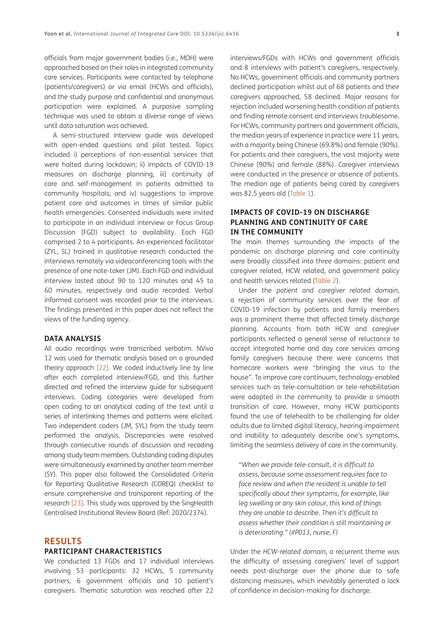officials from major government bodies (i.e., MOH) were approached based on their roles in integrated community care services. Participants were contacted by telephone (patients/caregivers) or via email (HCWs and officials), and the study purpose and confidential and anonymous participation were explained. A purposive sampling technique was used to obtain a diverse range of views until data saturation was achieved.

A semi-structured interview guide was developed with open-ended questions and pilot tested. Topics included i) perceptions of non-essential services that were halted during lockdown; ii) impacts of COVID-19 measures on discharge planning, iii) continuity of care and self-management in patients admitted to community hospitals; and iv) suggestions to improve patient care and outcomes in times of similar public health emergencies. Consented individuals were invited to participate in an individual interview or Focus Group Discussion (FGD) subject to availability. Each FGD comprised 2 to 4 participants. An experienced facilitator (ZYL, SL) trained in qualitative research conducted the interviews remotely via videoconferencing tools with the presence of one note-taker (JM). Each FGD and individual interview lasted about 90 to 120 minutes and 45 to 60 minutes, respectively and audio recorded. Verbal informed consent was recorded prior to the interviews. The findings presented in this paper does not reflect the views of the funding agency.

### **DATA ANALYSIS**

All audio recordings were transcribed verbatim. NVivo 12 was used for thematic analysis based on a grounded theory approach [\[22\]](#page-10-3). We coded inductively line by line after each completed interview/FGD, and this further directed and refined the interview guide for subsequent interviews. Coding categories were developed from open coding to an analytical coding of the text until a series of interlinking themes and patterns were elicited. Two independent coders (JM, SYL) from the study team performed the analysis. Discrepancies were resolved through consecutive rounds of discussion and recoding among study team members. Outstanding coding disputes were simultaneously examined by another team member (SY). This paper also followed the Consolidated Criteria for Reporting Qualitative Research (COREQ) checklist to ensure comprehensive and transparent reporting of the research [[23\]](#page-10-4). This study was approved by the SingHealth Centralised Institutional Review Board (Ref: 2020/2374).

### **RESULTS**

### **PARTICIPANT CHARACTERISTICS**

We conducted 13 FGDs and 17 individual interviews involving 53 participants: 32 HCWs, 5 community partners, 6 government officials and 10 patient's caregivers. Thematic saturation was reached after 22 interviews/FGDs with HCWs and government officials and 8 interviews with patient's caregivers, respectively. No HCWs, government officials and community partners declined participation whilst out of 68 patients and their caregivers approached, 58 declined. Major reasons for rejection included worsening health condition of patients and finding remote consent and interviews troublesome. For HCWs, community partners and government officials, the median years of experience in practice were 11 years, with a majority being Chinese (69.8%) and female (90%). For patients and their caregivers, the vast majority were Chinese (90%) and female (88%). Caregiver interviews were conducted in the presence or absence of patients. The median age of patients being cared by caregivers was 82.5 years old ([Table 1](#page-3-0)).

### **IMPACTS OF COVID-19 ON DISCHARGE PLANNING AND CONTINUITY OF CARE IN THE COMMUNITY**

The main themes surrounding the impacts of the pandemic on discharge planning and care continuity were broadly classified into three domains: patient and caregiver related, HCW related, and government policy and health services related [\(Table 2](#page-4-0)).

Under the *patient and caregiver related domain*, a rejection of community services over the fear of COVID-19 infection by patients and family members was a prominent theme that affected timely discharge planning. Accounts from both HCW and caregiver participants reflected a general sense of reluctance to accept integrated home and day care services among family caregivers because there were concerns that homecare workers were "bringing the virus to the house". To improve care continuum, technology-enabled services such as tele-consultation or tele-rehabilitation were adopted in the community to provide a smooth transition of care. However, many HCW participants found the use of telehealth to be challenging for older adults due to limited digital literacy, hearing impairment and inability to adequately describe one's symptoms, limiting the seamless delivery of care in the community.

*"When we provide tele-consult, it is difficult to assess, because some assessment requires face to face review and when the resident is unable to tell specifically about their symptoms, for example, like leg swelling or any skin colour, this kind of things they are unable to describe. Then it's difficult to assess whether their condition is still maintaining or is deteriorating." (#P013, nurse, F)*

Under the *HCW-related domain*, a recurrent theme was the difficulty of assessing caregivers' level of support needs post-discharge over the phone due to safe distancing measures, which inevitably generated a lack of confidence in decision-making for discharge.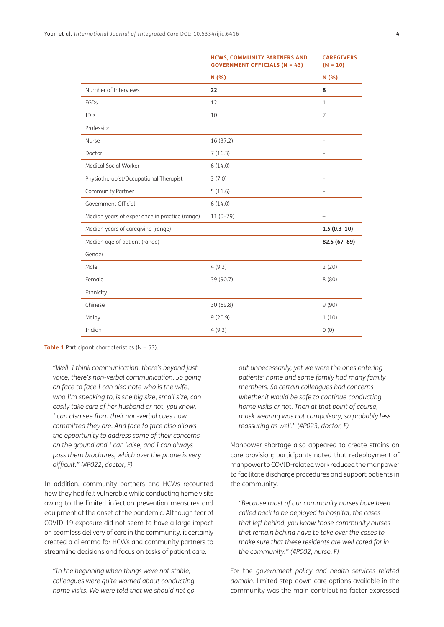|                                                | <b>HCWS, COMMUNITY PARTNERS AND</b><br><b>GOVERNMENT OFFICIALS (N = 43)</b> | <b>CAREGIVERS</b><br>$(N = 10)$ |
|------------------------------------------------|-----------------------------------------------------------------------------|---------------------------------|
|                                                | N (%)                                                                       | N(% )                           |
| Number of Interviews                           | 22                                                                          | 8                               |
| FGDs                                           | 12                                                                          | $\mathbf{1}$                    |
| <b>IDIs</b>                                    | 10                                                                          | $\overline{7}$                  |
| Profession                                     |                                                                             |                                 |
| Nurse                                          | 16 (37.2)                                                                   |                                 |
| Doctor                                         | 7(16.3)                                                                     |                                 |
| Medical Social Worker                          | 6(14.0)                                                                     | $\overline{\phantom{0}}$        |
| Physiotherapist/Occupational Therapist         | 3(7.0)                                                                      | $\overline{\phantom{a}}$        |
| Community Partner                              | 5(11.6)                                                                     | $\overline{\phantom{0}}$        |
| Government Official                            | 6(14.0)                                                                     | $\overline{\phantom{0}}$        |
| Median years of experience in practice (range) | $11(0-29)$                                                                  |                                 |
| Median years of caregiving (range)             | $\overline{\phantom{0}}$                                                    | $1.5(0.3-10)$                   |
| Median age of patient (range)                  |                                                                             | 82.5 (67-89)                    |
| Gender                                         |                                                                             |                                 |
| Male                                           | 4(9.3)                                                                      | 2(20)                           |
| Female                                         | 39 (90.7)                                                                   | 8(80)                           |
| Ethnicity                                      |                                                                             |                                 |
| Chinese                                        | 30 (69.8)                                                                   | 9(90)                           |
| Malay                                          | 9(20.9)                                                                     | 1(10)                           |
| Indian                                         | 4(9.3)                                                                      | 0(0)                            |

<span id="page-3-0"></span>**Table 1** Participant characteristics (N = 53).

*"Well, I think communication, there's beyond just voice, there's non-verbal communication. So going on face to face I can also note who is the wife, who I'm speaking to, is she big size, small size, can easily take care of her husband or not, you know. I can also see from their non-verbal cues how committed they are. And face to face also allows the opportunity to address some of their concerns on the ground and I can liaise, and I can always pass them brochures, which over the phone is very difficult." (#P022, doctor, F)*

In addition, community partners and HCWs recounted how they had felt vulnerable while conducting home visits owing to the limited infection prevention measures and equipment at the onset of the pandemic. Although fear of COVID-19 exposure did not seem to have a large impact on seamless delivery of care in the community, it certainly created a dilemma for HCWs and community partners to streamline decisions and focus on tasks of patient care.

*"In the beginning when things were not stable, colleagues were quite worried about conducting home visits. We were told that we should not go*  *out unnecessarily, yet we were the ones entering patients' home and some family had many family members. So certain colleagues had concerns whether it would be safe to continue conducting home visits or not. Then at that point of course, mask wearing was not compulsory, so probably less reassuring as well." (#P023, doctor, F)*

Manpower shortage also appeared to create strains on care provision; participants noted that redeployment of manpower to COVID-related work reduced the manpower to facilitate discharge procedures and support patients in the community.

*"Because most of our community nurses have been called back to be deployed to hospital, the cases that left behind, you know those community nurses that remain behind have to take over the cases to make sure that these residents are well cared for in the community." (#P002, nurse, F)*

For the *government policy and health services related domain*, limited step-down care options available in the community was the main contributing factor expressed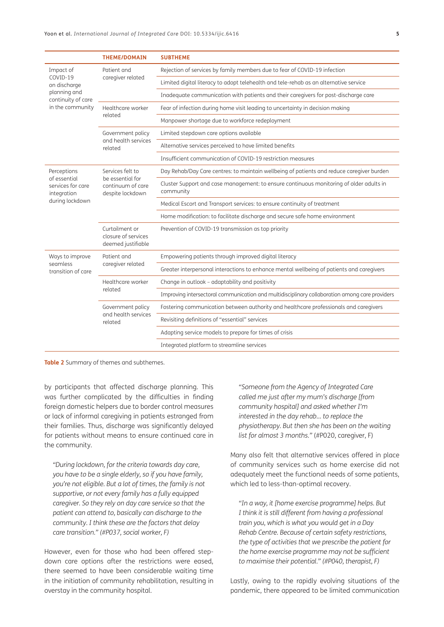|                                                                                                 | <b>THEME/DOMAIN</b>                                                           | <b>SUBTHEME</b>                                                                                      |
|-------------------------------------------------------------------------------------------------|-------------------------------------------------------------------------------|------------------------------------------------------------------------------------------------------|
| Impact of<br>COVID-19<br>on discharge<br>planning and<br>continuity of care<br>in the community | Patient and<br>caregiver related                                              | Rejection of services by family members due to fear of COVID-19 infection                            |
|                                                                                                 |                                                                               | Limited digital literacy to adopt telehealth and tele-rehab as an alternative service                |
|                                                                                                 |                                                                               | Inadequate communication with patients and their caregivers for post-discharge care                  |
|                                                                                                 | Healthcare worker<br>related                                                  | Fear of infection during home visit leading to uncertainty in decision making                        |
|                                                                                                 |                                                                               | Manpower shortage due to workforce redeployment                                                      |
|                                                                                                 | Government policy<br>and health services<br>related                           | Limited stepdown care options available                                                              |
|                                                                                                 |                                                                               | Alternative services perceived to have limited benefits                                              |
|                                                                                                 |                                                                               | Insufficient communication of COVID-19 restriction measures                                          |
| Perceptions<br>of essential<br>services for care<br>integration<br>during lockdown              | Services felt to<br>be essential for<br>continuum of care<br>despite lockdown | Day Rehab/Day Care centres: to maintain wellbeing of patients and reduce caregiver burden            |
|                                                                                                 |                                                                               | Cluster Support and case management: to ensure continuous monitoring of older adults in<br>community |
|                                                                                                 |                                                                               | Medical Escort and Transport services: to ensure continuity of treatment                             |
|                                                                                                 |                                                                               | Home modification: to facilitate discharge and secure safe home environment                          |
|                                                                                                 | Curtailment or<br>closure of services<br>deemed justifiable                   | Prevention of COVID-19 transmission as top priority                                                  |
| Ways to improve<br>seamless<br>transition of care                                               | Patient and<br>caregiver related                                              | Empowering patients through improved digital literacy                                                |
|                                                                                                 |                                                                               | Greater interpersonal interactions to enhance mental wellbeing of patients and caregivers            |
|                                                                                                 | Healthcare worker<br>related                                                  | Change in outlook - adaptability and positivity                                                      |
|                                                                                                 |                                                                               | Improving intersectoral communication and multidisciplinary collaboration among care providers       |
|                                                                                                 | Government policy<br>and health services<br>related                           | Fostering communication between authority and healthcare professionals and caregivers                |
|                                                                                                 |                                                                               | Revisiting definitions of "essential" services                                                       |
|                                                                                                 |                                                                               | Adapting service models to prepare for times of crisis                                               |
|                                                                                                 |                                                                               | Integrated platform to streamline services                                                           |

<span id="page-4-0"></span>**Table 2** Summary of themes and subthemes.

by participants that affected discharge planning. This was further complicated by the difficulties in finding foreign domestic helpers due to border control measures or lack of informal caregiving in patients estranged from their families. Thus, discharge was significantly delayed for patients without means to ensure continued care in the community.

*"During lockdown, for the criteria towards day care, you have to be a single elderly, so if you have family, you're not eligible. But a lot of times, the family is not supportive, or not every family has a fully equipped caregiver. So they rely on day care service so that the patient can attend to, basically can discharge to the community. I think these are the factors that delay care transition." (#P037, social worker, F)*

However, even for those who had been offered stepdown care options after the restrictions were eased, there seemed to have been considerable waiting time in the initiation of community rehabilitation, resulting in overstay in the community hospital.

*"Someone from the Agency of Integrated Care called me just after my mum's discharge [from community hospital] and asked whether I'm interested in the day rehab… to replace the physiotherapy. But then she has been on the waiting list for almost 3 months."* (#P020, caregiver, F)

Many also felt that alternative services offered in place of community services such as home exercise did not adequately meet the functional needs of some patients, which led to less-than-optimal recovery.

*"In a way, it [home exercise programme] helps. But I think it is still different from having a professional train you, which is what you would get in a Day Rehab Centre. Because of certain safety restrictions, the type of activities that we prescribe the patient for the home exercise programme may not be sufficient to maximise their potential." (#P040, therapist, F)*

Lastly, owing to the rapidly evolving situations of the pandemic, there appeared to be limited communication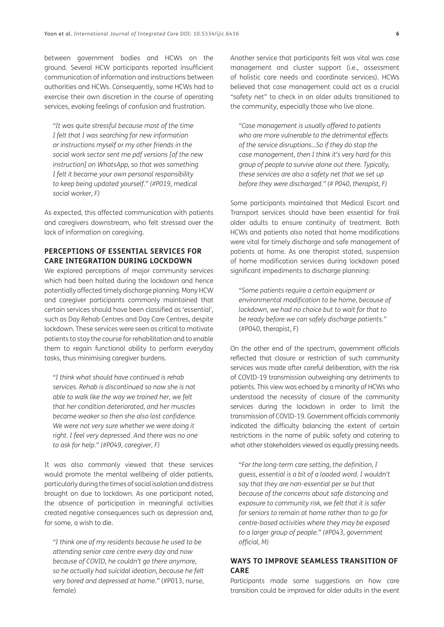between government bodies and HCWs on the ground. Several HCW participants reported insufficient communication of information and instructions between authorities and HCWs. Consequently, some HCWs had to exercise their own discretion in the course of operating services, evoking feelings of confusion and frustration.

*"It was quite stressful because most of the time I felt that I was searching for new information or instructions myself or my other friends in the social work sector sent me pdf versions [of the new instruction] on WhatsApp, so that was something I felt it became your own personal responsibility to keep being updated yourself." (#P019, medical social worker, F)*

As expected, this affected communication with patients and caregivers downstream, who felt stressed over the lack of information on caregiving.

### **PERCEPTIONS OF ESSENTIAL SERVICES FOR CARE INTEGRATION DURING LOCKDOWN**

We explored perceptions of major community services which had been halted during the lockdown and hence potentially affected timely discharge planning. Many HCW and caregiver participants commonly maintained that certain services should have been classified as 'essential', such as Day Rehab Centres and Day Care Centres, despite lockdown. These services were seen as critical to motivate patients to stay the course for rehabilitation and to enable them to regain functional ability to perform everyday tasks, thus minimising caregiver burdens.

*"I think what should have continued is rehab services. Rehab is discontinued so now she is not able to walk like the way we trained her, we felt that her condition deteriorated, and her muscles became weaker so then she also lost confidence. We were not very sure whether we were doing it right. I feel very depressed. And there was no one to ask for help." (#P049, caregiver, F)*

It was also commonly viewed that these services would promote the mental wellbeing of older patients, particularly during the times of social isolation and distress brought on due to lockdown. As one participant noted, the absence of participation in meaningful activities created negative consequences such as depression and, for some, a wish to die.

*"I think one of my residents because he used to be attending senior care centre every day and now because of COVID, he couldn't go there anymore, so he actually had suicidal ideation, because he felt very bored and depressed at home."* (#P013, nurse, female)

Another service that participants felt was vital was case management and cluster support (i.e., assessment of holistic care needs and coordinate services). HCWs believed that case management could act as a crucial "safety net" to check in on older adults transitioned to the community, especially those who live alone.

*"Case management is usually offered to patients who are more vulnerable to the detrimental effects of the service disruptions…So if they do stop the case management, then I think it's very hard for this group of people to survive alone out there. Typically, these services are also a safety net that we set up before they were discharged." (# P040, therapist, F)*

Some participants maintained that Medical Escort and Transport services should have been essential for frail older adults to ensure continuity of treatment. Both HCWs and patients also noted that home modifications were vital for timely discharge and safe management of patients at home. As one therapist stated, suspension of home modification services during lockdown posed significant impediments to discharge planning:

*"Some patients require a certain equipment or environmental modification to be home, because of lockdown, we had no choice but to wait for that to be ready before we can safely discharge patients."*  (#P040, therapist, F)

On the other end of the spectrum, government officials reflected that closure or restriction of such community services was made after careful deliberation, with the risk of COVID-19 transmission outweighing any detriments to patients. This view was echoed by a minority of HCWs who understood the necessity of closure of the community services during the lockdown in order to limit the transmission of COVID-19. Government officials commonly indicated the difficulty balancing the extent of certain restrictions in the name of public safety and catering to what other stakeholders viewed as equally pressing needs.

*"For the long-term care setting, the definition, I guess, essential is a bit of a loaded word. I wouldn't say that they are non-essential per se but that because of the concerns about safe distancing and exposure to community risk, we felt that it is safer for seniors to remain at home rather than to go for centre-based activities where they may be exposed to a larger group of people." (#P043, government official, M)*

### **WAYS TO IMPROVE SEAMLESS TRANSITION OF CARE**

Participants made some suggestions on how care transition could be improved for older adults in the event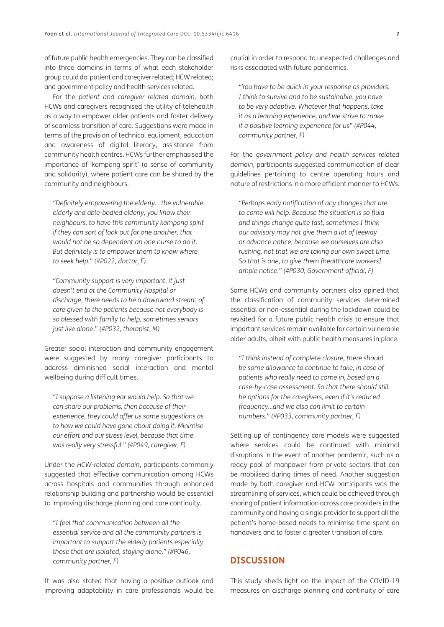of future public health emergencies. They can be classified into three domains in terms of what each stakeholder group could do: patient and caregiver related; HCW related; and government policy and health services related.

For the *patient and caregiver related domain*, both HCWs and caregivers recognised the utility of telehealth as a way to empower older patients and foster delivery of seamless transition of care. Suggestions were made in terms of the provision of technical equipment, education and awareness of digital literacy, assistance from community health centres. HCWs further emphasised the importance of 'kampong spirit' (a sense of community and solidarity), where patient care can be shared by the community and neighbours.

*"Definitely empowering the elderly… the vulnerable elderly and able-bodied elderly, you know their neighbours, to have this community kampong spirit if they can sort of look out for one another, that would not be so dependent on one nurse to do it. But definitely is to empower them to know where to seek help." (#P022, doctor, F)*

*"Community support is very important, it just doesn't end at the Community Hospital or discharge, there needs to be a downward stream of care given to the patients because not everybody is so blessed with family to help, sometimes seniors just live alone." (#P032, therapist, M)*

Greater social interaction and community engagement were suggested by many caregiver participants to address diminished social interaction and mental wellbeing during difficult times.

*"I suppose a listening ear would help. So that we can share our problems, then because of their experience, they could offer us some suggestions as to how we could have gone about doing it. Minimise our effort and our stress level, because that time was really very stressful." (#P049, caregiver, F)*

Under the *HCW-related domain*, participants commonly suggested that effective communication among HCWs across hospitals and communities through enhanced relationship building and partnership would be essential to improving discharge planning and care continuity.

*"I feel that communication between all the essential service and all the community partners is important to support the elderly patients especially those that are isolated, staying alone." (#P046, community partner, F)*

It was also stated that having a positive outlook and improving adaptability in care professionals would be crucial in order to respond to unexpected challenges and risks associated with future pandemics.

*"You have to be quick in your response as providers. I think to survive and to be sustainable, you have to be very adaptive. Whatever that happens, take it as a learning experience, and we strive to make it a positive learning experience for us" (#P044, community partner, F)*

For the *government policy and health services related domain*, participants suggested communication of clear guidelines pertaining to centre operating hours and nature of restrictions in a more efficient manner to HCWs.

*"Perhaps early notification of any changes that are to come will help. Because the situation is so fluid and things change quite fast, sometimes I think our advisory may not give them a lot of leeway or advance notice, because we ourselves are also rushing, not that we are taking our own sweet time. So that is one, to give them [healthcare workers] ample notice." (#P030, Government official, F)*

Some HCWs and community partners also opined that the classification of community services determined essential or non-essential during the lockdown could be revisited for a future public health crisis to ensure that important services remain available for certain vulnerable older adults, albeit with public health measures in place.

*"I think instead of complete closure, there should be some allowance to continue to take, in case of patients who really need to come in, based on a case-by-case assessment. So that there should still be options for the caregivers, even if it's reduced frequency…and we also can limit to certain numbers." (#P033, community partner, F)*

Setting up of contingency care models were suggested where services could be continued with minimal disruptions in the event of another pandemic, such as a ready pool of manpower from private sectors that can be mobilised during times of need. Another suggestion made by both caregiver and HCW participants was the streamlining of services, which could be achieved through sharing of patient information across care providers in the community and having a single provider to support all the patient's home-based needs to minimise time spent on handovers and to foster a greater transition of care.

# **DISCUSSION**

This study sheds light on the impact of the COVID-19 measures on discharge planning and continuity of care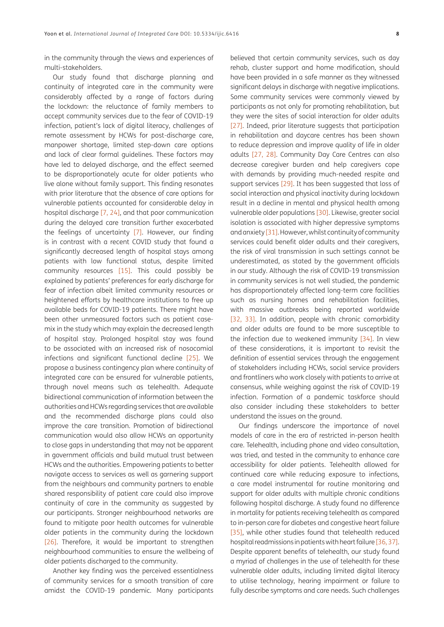in the community through the views and experiences of multi-stakeholders.

Our study found that discharge planning and continuity of integrated care in the community were considerably affected by a range of factors during the lockdown: the reluctance of family members to accept community services due to the fear of COVID-19 infection, patient's lack of digital literacy, challenges of remote assessment by HCWs for post-discharge care, manpower shortage, limited step-down care options and lack of clear formal guidelines. These factors may have led to delayed discharge, and the effect seemed to be disproportionately acute for older patients who live alone without family support. This finding resonates with prior literature that the absence of care options for vulnerable patients accounted for considerable delay in hospital discharge [[7,](#page-9-6) [24\]](#page-10-5), and that poor communication during the delayed care transition further exacerbated the feelings of uncertainty [\[7](#page-9-6)]. However, our finding is in contrast with a recent COVID study that found a significantly decreased length of hospital stays among patients with low functional status, despite limited community resources [[15](#page-9-14)]. This could possibly be explained by patients' preferences for early discharge for fear of infection albeit limited community resources or heightened efforts by healthcare institutions to free up available beds for COVID-19 patients. There might have been other unmeasured factors such as patient casemix in the study which may explain the decreased length of hospital stay. Prolonged hospital stay was found to be associated with an increased risk of nosocomial infections and significant functional decline [[25](#page-10-6)]. We propose a business contingency plan where continuity of integrated care can be ensured for vulnerable patients, through novel means such as telehealth. Adequate bidirectional communication of information between the authorities and HCWs regarding services that are available and the recommended discharge plans could also improve the care transition. Promotion of bidirectional communication would also allow HCWs an opportunity to close gaps in understanding that may not be apparent in government officials and build mutual trust between HCWs and the authorities. Empowering patients to better navigate access to services as well as garnering support from the neighbours and community partners to enable shared responsibility of patient care could also improve continuity of care in the community as suggested by our participants. Stronger neighbourhood networks are found to mitigate poor health outcomes for vulnerable older patients in the community during the lockdown [\[26\]](#page-10-7). Therefore, it would be important to strengthen neighbourhood communities to ensure the wellbeing of older patients discharged to the community.

Another key finding was the perceived essentialness of community services for a smooth transition of care amidst the COVID-19 pandemic. Many participants

believed that certain community services, such as day rehab, cluster support and home modification, should have been provided in a safe manner as they witnessed significant delays in discharge with negative implications. Some community services were commonly viewed by participants as not only for promoting rehabilitation, but they were the sites of social interaction for older adults [[27](#page-10-8)]. Indeed, prior literature suggests that participation in rehabilitation and daycare centres has been shown to reduce depression and improve quality of life in older adults [[27](#page-10-8), [28](#page-10-9)]. Community Day Care Centres can also decrease caregiver burden and help caregivers cope with demands by providing much-needed respite and support services [[29\]](#page-10-10). It has been suggested that loss of social interaction and physical inactivity during lockdown result in a decline in mental and physical health among vulnerable older populations [\[30\]](#page-10-11). Likewise, greater social isolation is associated with higher depressive symptoms and anxiety [\[31](#page-10-12)]. However, whilst continuity of community services could benefit older adults and their caregivers, the risk of viral transmission in such settings cannot be underestimated, as stated by the government officials in our study. Although the risk of COVID-19 transmission in community services is not well studied, the pandemic has disproportionately affected long-term care facilities such as nursing homes and rehabilitation facilities, with massive outbreaks being reported worldwide [[32](#page-10-13), [33](#page-10-14)]. In addition, people with chronic comorbidity and older adults are found to be more susceptible to the infection due to weakened immunity [\[34](#page-10-15)]. In view of these considerations, it is important to revisit the definition of essential services through the engagement of stakeholders including HCWs, social service providers and frontliners who work closely with patients to arrive at consensus, while weighing against the risk of COVID-19 infection. Formation of a pandemic taskforce should also consider including these stakeholders to better understand the issues on the ground.

Our findings underscore the importance of novel models of care in the era of restricted in-person health care. Telehealth, including phone and video consultation, was tried, and tested in the community to enhance care accessibility for older patients. Telehealth allowed for continued care while reducing exposure to infections, a care model instrumental for routine monitoring and support for older adults with multiple chronic conditions following hospital discharge. A study found no difference in mortality for patients receiving telehealth as compared to in-person care for diabetes and congestive heart failure [[35](#page-10-16)], while other studies found that telehealth reduced hospital readmissions in patients with heart failure [[36](#page-10-17), [37\]](#page-10-18). Despite apparent benefits of telehealth, our study found a myriad of challenges in the use of telehealth for these vulnerable older adults, including limited digital literacy to utilise technology, hearing impairment or failure to fully describe symptoms and care needs. Such challenges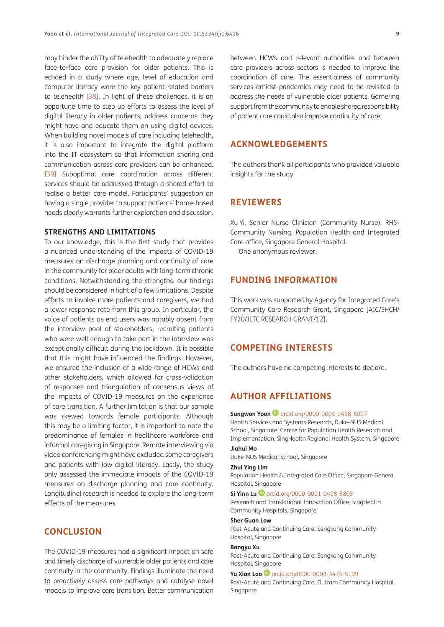may hinder the ability of telehealth to adequately replace face-to-face care provision for older patients. This is echoed in a study where age, level of education and computer literacy were the key patient-related barriers to telehealth [[38](#page-10-19)]. In light of these challenges, it is an opportune time to step up efforts to assess the level of digital literacy in older patients, address concerns they might have and educate them on using digital devices. When building novel models of care including telehealth, it is also important to integrate the digital platform into the IT ecosystem so that information sharing and communication across care providers can be enhanced. [\[39\]](#page-10-20) Suboptimal care coordination across different services should be addressed through a shared effort to realise a better care model. Participants' suggestion on having a single provider to support patients' home-based needs clearly warrants further exploration and discussion.

### **STRENGTHS AND LIMITATIONS**

To our knowledge, this is the first study that provides a nuanced understanding of the impacts of COVID-19 measures on discharge planning and continuity of care in the community for older adults with long-term chronic conditions. Notwithstanding the strengths, our findings should be considered in light of a few limitations. Despite efforts to involve more patients and caregivers, we had a lower response rate from this group. In particular, the voice of patients as end users was notably absent from the interview pool of stakeholders; recruiting patients who were well enough to take part in the interview was exceptionally difficult during the lockdown. It is possible that this might have influenced the findings. However, we ensured the inclusion of a wide range of HCWs and other stakeholders, which allowed for cross-validation of responses and triangulation of consensus views of the impacts of COVID-19 measures on the experience of care transition. A further limitation is that our sample was skewed towards female participants. Although this may be a limiting factor, it is important to note the predominance of females in healthcare workforce and informal caregiving in Singapore. Remote interviewing via video conferencing might have excluded some caregivers and patients with low digital literacy. Lastly, the study only assessed the immediate impacts of the COVID-19 measures on discharge planning and care continuity. Longitudinal research is needed to explore the long-term effects of the measures.

# **CONCLUSION**

The COVID-19 measures had a significant impact on safe and timely discharge of vulnerable older patients and care continuity in the community. Findings illuminate the need to proactively assess care pathways and catalyse novel models to improve care transition. Better communication between HCWs and relevant authorities and between care providers across sectors is needed to improve the coordination of care. The essentialness of community services amidst pandemics may need to be revisited to address the needs of vulnerable older patients. Garnering support from the community to enable shared responsibility of patient care could also improve continuity of care.

# **ACKNOWLEDGEMENTS**

The authors thank all participants who provided valuable insights for the study.

# **REVIEWERS**

Xu Yi, Senior Nurse Clinician (Community Nurse), RHS-Community Nursing, Population Health and Integrated Care office, Singapore General Hospital.

One anonymous reviewer.

# **FUNDING INFORMATION**

This work was supported by Agency for Integrated Care's Community Care Research Grant, Singapore [AIC/SHCH/ FY20/ILTC RESEARCH GRANT/12].

# **COMPETING INTERESTS**

The authors have no competing interests to declare.

# <span id="page-8-0"></span>**AUTHOR AFFILIATIONS**

### **SungwonYoon D** [orcid.org/0000-0001-9458-6097](https://orcid.org/0000-0001-9458-6097)

Health Services and Systems Research, Duke-NUS Medical School, Singapore; Centre for Population Health Research and Implementation, SingHealth Regional Health System, Singapore

### **Jiahui Mo**

Duke-NUS Medical School, Singapore

#### **Zhui Ying Lim**

Population Health & Integrated Care Office, Singapore General Hospital, Singapore

#### **Si Yinn Lu**[orcid.org/0000-0001-9498-8803](https://orcid.org/0000-0001-9498-8803)

Research and Translational Innovation Office, SingHealth Community Hospitals, Singapore

### **Sher Guan Low**

Post-Acute and Continuing Care, Sengkang Community Hospital, Singapore

### **Bangyu Xu**

Post-Acute and Continuing Care, Sengkang Community Hospital, Singapore

**YuXian Loo D** [orcid.org/0000-0003-3475-5199](https://orcid.org/0000-0003-3475-5199)

Post-Acute and Continuing Care, Outram Community Hospital, Singapore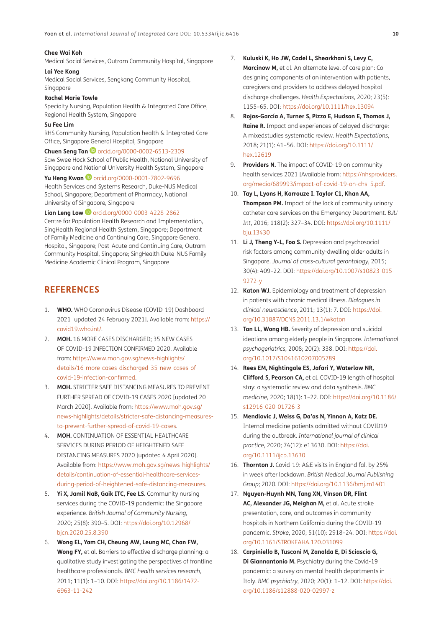### **Chee Wai Koh**

Medical Social Services, Outram Community Hospital, Singapore

#### **Lai Yee Kong**

Medical Social Services, Sengkang Community Hospital, Singapore

#### **Rachel Marie Towle**

Specialty Nursing, Population Health & Integrated Care Office, Regional Health System, Singapore

#### **Su Fee Lim**

RHS Community Nursing, Population health & Integrated Care Office, Singapore General Hospital, Singapore

**Chuen Seng Tan**[orcid.org/0000-0002-6513-2309](https://orcid.org/0000-0002-6513-2309) Saw Swee Hock School of Public Health, National University of Singapore and National University Health System, Singapore

#### **YuHeng Kwan D** [orcid.org/0000-0001-7802-9696](https://orcid.org/0000-0001-7802-9696)

Health Services and Systems Research, Duke-NUS Medical School, Singapore; Department of Pharmacy, National University of Singapore, Singapore

#### **Lian Leng Low ©** [orcid.org/0000-0003-4228-2862](https://orcid.org/0000-0003-4228-2862)

Centre for Population Health Research and Implementation, SingHealth Regional Health System, Singapore; Department of Family Medicine and Continuing Care, Singapore General Hospital, Singapore; Post-Acute and Continuing Care, Outram Community Hospital, Singapore; SingHealth Duke-NUS Family Medicine Academic Clinical Program, Singapore

# **REFERENCES**

- <span id="page-9-0"></span>1. **WHO.** WHO Coronavirus Disease (COVID-19) Dashboard 2021 [updated 24 February 2021]. Available from: [https://](https://covid19.who.int/) [covid19.who.int/.](https://covid19.who.int/)
- <span id="page-9-1"></span>2. **MOH.** 16 MORE CASES DISCHARGED; 35 NEW CASES OF COVID-19 INFECTION CONFIRMED 2020. Available from: [https://www.moh.gov.sg/news-highlights/](https://www.moh.gov.sg/news-highlights/details/16-more-cases-discharged-35-new-cases-of-covid-19-infection-confirmed) [details/16-more-cases-discharged-35-new-cases-of](https://www.moh.gov.sg/news-highlights/details/16-more-cases-discharged-35-new-cases-of-covid-19-infection-confirmed)[covid-19-infection-confirmed](https://www.moh.gov.sg/news-highlights/details/16-more-cases-discharged-35-new-cases-of-covid-19-infection-confirmed).
- <span id="page-9-2"></span>3. **MOH.** STRICTER SAFE DISTANCING MEASURES TO PREVENT FURTHER SPREAD OF COVID-19 CASES 2020 [updated 20 March 2020]. Available from: [https://www.moh.gov.sg/](https://www.moh.gov.sg/news-highlights/details/stricter-safe-distancing-measures-to-prevent-further-spread-of-covid-19-cases) [news-highlights/details/stricter-safe-distancing-measures](https://www.moh.gov.sg/news-highlights/details/stricter-safe-distancing-measures-to-prevent-further-spread-of-covid-19-cases)[to-prevent-further-spread-of-covid-19-cases](https://www.moh.gov.sg/news-highlights/details/stricter-safe-distancing-measures-to-prevent-further-spread-of-covid-19-cases).
- <span id="page-9-3"></span>4. **MOH.** CONTINUATION OF ESSENTIAL HEALTHCARE SERVICES DURING PERIOD OF HEIGHTENED SAFE DISTANCING MEASURES 2020 [updated 4 April 2020]. Available from: [https://www.moh.gov.sg/news-highlights/](https://www.moh.gov.sg/news-highlights/details/continuation-of-essential-healthcare-services-during-period-of-heightened-safe-distancing-measures) [details/continuation-of-essential-healthcare-services](https://www.moh.gov.sg/news-highlights/details/continuation-of-essential-healthcare-services-during-period-of-heightened-safe-distancing-measures)[during-period-of-heightened-safe-distancing-measures](https://www.moh.gov.sg/news-highlights/details/continuation-of-essential-healthcare-services-during-period-of-heightened-safe-distancing-measures).
- <span id="page-9-4"></span>5. **Yi X, Jamil NaB, Gaik ITC, Fee LS.** Community nursing services during the COVID-19 pandemic: the Singapore experience. *British Journal of Community Nursing*, 2020; 25(8): 390–5. DOI: [https://doi.org/10.12968/](https://doi.org/10.12968/bjcn.2020.25.8.390) [bjcn.2020.25.8.390](https://doi.org/10.12968/bjcn.2020.25.8.390)
- <span id="page-9-5"></span>6. **Wong EL, Yam CH, Cheung AW, Leung MC, Chan FW, Wong FY,** et al. Barriers to effective discharge planning: a qualitative study investigating the perspectives of frontline healthcare professionals. *BMC health services research*, 2011; 11(1): 1–10. DOI: [https://doi.org/10.1186/1472-](https://doi.org/10.1186/1472-6963-11-242) [6963-11-242](https://doi.org/10.1186/1472-6963-11-242)
- <span id="page-9-6"></span>7. **Kuluski K, Ho JW, Cadel L, Shearkhani S, Levy C,**  Marcinow M, et al. An alternate level of care plan: Co designing components of an intervention with patients, caregivers and providers to address delayed hospital discharge challenges. *Health Expectations*, 2020; 23(5): 1155–65. DOI:<https://doi.org/10.1111/hex.13094>
- <span id="page-9-7"></span>8. **Rojas-García A, Turner S, Pizzo E, Hudson E, Thomas J, Raine R.** Impact and experiences of delayed discharge: A mixed studies systematic review. Health Expectations, 2018; 21(1): 41–56. DOI: [https://doi.org/10.1111/](https://doi.org/10.1111/hex.12619) [hex.12619](https://doi.org/10.1111/hex.12619)
- <span id="page-9-8"></span>9. **Providers N.** The impact of COVID-19 on community health services 2021 [Available from: [https://nhsproviders.](https://nhsproviders.org/media/689993/impact-of-covid-19-on-chs_5.pdf) [org/media/689993/impact-of-covid-19-on-chs\\_5.pdf.](https://nhsproviders.org/media/689993/impact-of-covid-19-on-chs_5.pdf)
- <span id="page-9-9"></span>10. **Tay L, Lyons H, Karrouze I. Taylor C1, Khan AA, Thompson PM.** Impact of the lack of community urinary catheter care services on the Emergency Department. *BJU Int*, 2016; 118(2): 327–34. DOI: [https://doi.org/10.1111/](https://doi.org/10.1111/bju.13430) [bju.13430](https://doi.org/10.1111/bju.13430)
- <span id="page-9-10"></span>11. **Li J, Theng Y-L, Foo S.** Depression and psychosocial risk factors among community-dwelling older adults in Singapore. *Journal of cross-cultural gerontology*, 2015; 30(4): 409–22. DOI: [https://doi.org/10.1007/s10823-015-](https://doi.org/10.1007/s10823-015-9272-y) [9272-y](https://doi.org/10.1007/s10823-015-9272-y)
- <span id="page-9-11"></span>12. **Katon WJ.** Epidemiology and treatment of depression in patients with chronic medical illness. *Dialogues in clinical neuroscience*, 2011; 13(1): 7. DOI: [https://doi.](https://doi.org/10.31887/DCNS.2011.13.1/wkaton) [org/10.31887/DCNS.2011.13.1/wkaton](https://doi.org/10.31887/DCNS.2011.13.1/wkaton)
- <span id="page-9-12"></span>13. **Tan LL, Wong HB.** Severity of depression and suicidal ideations among elderly people in Singapore. *International psychogeriatrics*, 2008; 20(2): 338. DOI: [https://doi.](https://doi.org/10.1017/S1041610207005789) [org/10.1017/S1041610207005789](https://doi.org/10.1017/S1041610207005789)
- <span id="page-9-13"></span>14. **Rees EM, Nightingale ES, Jafari Y, Waterlow NR, Clifford S, Pearson CA,** et al. COVID-19 length of hospital stay: a systematic review and data synthesis. *BMC medicine*, 2020; 18(1): 1–22. DOI: [https://doi.org/10.1186/](https://doi.org/10.1186/s12916-020-01726-3) [s12916-020-01726-3](https://doi.org/10.1186/s12916-020-01726-3)
- <span id="page-9-14"></span>15. **Mendlovic J, Weiss G, Da'as N, Yinnon A, Katz DE.** Internal medicine patients admitted without COVID19 during the outbreak. *International journal of clinical practice*, 2020; 74(12): e13630. DOI: [https://doi.](https://doi.org/10.1111/ijcp.13630) [org/10.1111/ijcp.13630](https://doi.org/10.1111/ijcp.13630)
- 16. **Thornton J.** Covid-19: A&E visits in England fall by 25% in week after lockdown. *British Medical Journal Publishing Group*; 2020. DOI: <https://doi.org/10.1136/bmj.m1401>
- <span id="page-9-15"></span>17. **Nguyen-Huynh MN, Tang XN, Vinson DR, Flint AC, Alexander JG, Meighan M,** et al. Acute stroke presentation, care, and outcomes in community hospitals in Northern California during the COVID-19 pandemic. *Stroke*, 2020; 51(10): 2918–24. DOI: [https://doi.](https://doi.org/10.1161/STROKEAHA.120.031099) [org/10.1161/STROKEAHA.120.031099](https://doi.org/10.1161/STROKEAHA.120.031099)
- <span id="page-9-16"></span>18. **Carpiniello B, Tusconi M, Zanalda E, Di Sciascio G, Di Giannantonio M.** Psychiatry during the Covid-19 pandemic: a survey on mental health departments in Italy. *BMC psychiatry*, 2020; 20(1): 1–12. DOI: [https://doi.](https://doi.org/10.1186/s12888-020-02997-z) [org/10.1186/s12888-020-02997-z](https://doi.org/10.1186/s12888-020-02997-z)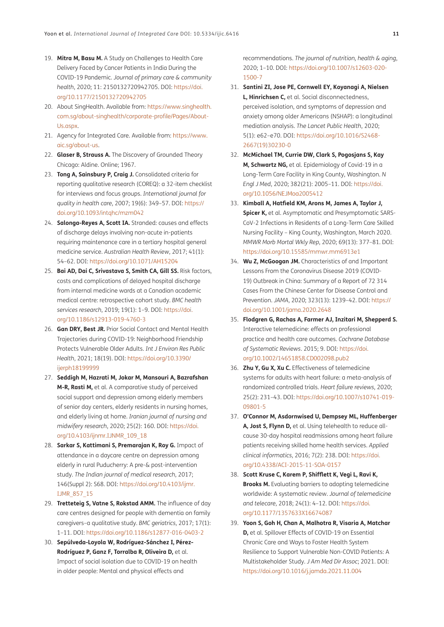- <span id="page-10-0"></span>19. **Mitra M, Basu M.** A Study on Challenges to Health Care Delivery Faced by Cancer Patients in India During the COVID-19 Pandemic. *Journal of primary care & community health*, 2020; 11: 2150132720942705. DOI: [https://doi.](https://doi.org/10.1177/2150132720942705) [org/10.1177/2150132720942705](https://doi.org/10.1177/2150132720942705)
- <span id="page-10-1"></span>20. About SingHealth. Available from: [https://www.singhealth.](https://www.singhealth.com.sg/about-singhealth/corporate-profile/Pages/About-Us.aspx) [com.sg/about-singhealth/corporate-profile/Pages/About-](https://www.singhealth.com.sg/about-singhealth/corporate-profile/Pages/About-Us.aspx)[Us.aspx.](https://www.singhealth.com.sg/about-singhealth/corporate-profile/Pages/About-Us.aspx)
- <span id="page-10-2"></span>21. Agency for Integrated Care. Available from: [https://www.](https://www.aic.sg/about-us) [aic.sg/about-us.](https://www.aic.sg/about-us)
- <span id="page-10-3"></span>22. **Glaser B, Strauss A.** The Discovery of Grounded Theory Chicago: Aldine. Online; 1967.
- <span id="page-10-4"></span>23. **Tong A, Sainsbury P, Craig J.** Consolidated criteria for reporting qualitative research (COREQ): a 32-item checklist for interviews and focus groups. *International journal for quality in health care*, 2007; 19(6): 349–57. DOI: [https://](https://doi.org/10.1093/intqhc/mzm042) [doi.org/10.1093/intqhc/mzm042](https://doi.org/10.1093/intqhc/mzm042)
- <span id="page-10-5"></span>24. **Salonga-Reyes A, Scott IA.** Stranded: causes and effects of discharge delays involving non-acute in-patients requiring maintenance care in a tertiary hospital general medicine service. *Australian Health Review*, 2017; 41(1): 54–62. DOI:<https://doi.org/10.1071/AH15204>
- <span id="page-10-6"></span>25. **Bai AD, Dai C, Srivastava S, Smith CA, Gill SS.** Risk factors, costs and complications of delayed hospital discharge from internal medicine wards at a Canadian academic medical centre: retrospective cohort study. *BMC health services research*, 2019; 19(1): 1–9. DOI: [https://doi.](https://doi.org/10.1186/s12913-019-4760-3) [org/10.1186/s12913-019-4760-3](https://doi.org/10.1186/s12913-019-4760-3)
- <span id="page-10-7"></span>26. **Gan DRY, Best JR.** Prior Social Contact and Mental Health Trajectories during COVID-19: Neighborhood Friendship Protects Vulnerable Older Adults. *Int J Environ Res Public Health*, 2021; 18(19). DOI: [https://doi.org/10.3390/](https://doi.org/10.3390/ijerph18199999) [ijerph18199999](https://doi.org/10.3390/ijerph18199999)
- <span id="page-10-8"></span>27. **Seddigh M, Hazrati M, Jokar M, Mansouri A, Bazrafshan M-R, Rasti M,** et al. A comparative study of perceived social support and depression among elderly members of senior day centers, elderly residents in nursing homes, and elderly living at home. *Iranian journal of nursing and midwifery research*, 2020; 25(2): 160. DOI: [https://doi.](https://doi.org/10.4103/ijnmr.IJNMR_109_18) [org/10.4103/ijnmr.IJNMR\\_109\\_18](https://doi.org/10.4103/ijnmr.IJNMR_109_18)
- <span id="page-10-9"></span>28. **Sarkar S, Kattimani S, Premarajan K, Roy G.** Impact of attendance in a daycare centre on depression among elderly in rural Puducherry: A pre-& post-intervention study. *The Indian journal of medical research*, 2017; 146(Suppl 2): S68. DOI: [https://doi.org/10.4103/ijmr.](https://doi.org/10.4103/ijmr.IJMR_857_15) [IJMR\\_857\\_15](https://doi.org/10.4103/ijmr.IJMR_857_15)
- <span id="page-10-10"></span>29. **Tretteteig S, Vatne S, Rokstad AMM.** The influence of day care centres designed for people with dementia on family caregivers–a qualitative study. *BMC geriatrics*, 2017; 17(1): 1–11. DOI: <https://doi.org/10.1186/s12877-016-0403-2>
- <span id="page-10-11"></span>30. **Sepúlveda-Loyola W, Rodríguez-Sánchez I, Pérez-Rodríguez P, Ganz F, Torralba R, Oliveira D,** et al. Impact of social isolation due to COVID-19 on health in older people: Mental and physical effects and

recommendations. *The journal of nutrition, health & aging*, 2020; 1–10. DOI: [https://doi.org/10.1007/s12603-020-](https://doi.org/10.1007/s12603-020-1500-7) [1500-7](https://doi.org/10.1007/s12603-020-1500-7)

- <span id="page-10-12"></span>31. **Santini ZI, Jose PE, Cornwell EY, Koyanagi A, Nielsen L, Hinrichsen C,** et al. Social disconnectedness, perceived isolation, and symptoms of depression and anxiety among older Americans (NSHAP): a longitudinal mediation analysis. *The Lancet Public Health*, 2020; 5(1): e62–e70. DOI: [https://doi.org/10.1016/S2468-](https://doi.org/10.1016/S2468-2667(19)30230-0) [2667\(19\)30230-0](https://doi.org/10.1016/S2468-2667(19)30230-0)
- <span id="page-10-13"></span>32. **McMichael TM, Currie DW, Clark S, Pogosjans S, Kay M, Schwartz NG,** et al. Epidemiology of Covid-19 in a Long-Term Care Facility in King County, Washington. *N Engl J Med*, 2020; 382(21): 2005–11. DOI: [https://doi.](https://doi.org/10.1056/NEJMoa2005412) [org/10.1056/NEJMoa2005412](https://doi.org/10.1056/NEJMoa2005412)
- <span id="page-10-14"></span>33. **Kimball A, Hatfield KM, Arons M, James A, Taylor J, Spicer K,** et al. Asymptomatic and Presymptomatic SARS-CoV-2 Infections in Residents of a Long-Term Care Skilled Nursing Facility – King County, Washington, March 2020. *MMWR Morb Mortal Wkly Rep*, 2020; 69(13): 377–81. DOI: <https://doi.org/10.15585/mmwr.mm6913e1>
- <span id="page-10-15"></span>34. **Wu Z, McGoogan JM.** Characteristics of and Important Lessons From the Coronavirus Disease 2019 (COVID-19) Outbreak in China: Summary of a Report of 72 314 Cases From the Chinese Center for Disease Control and Prevention. *JAMA*, 2020; 323(13): 1239–42. DOI: [https://](https://doi.org/10.1001/jama.2020.2648) [doi.org/10.1001/jama.2020.2648](https://doi.org/10.1001/jama.2020.2648)
- <span id="page-10-16"></span>35. **Flodgren G, Rachas A, Farmer AJ, Inzitari M, Shepperd S.** Interactive telemedicine: effects on professional practice and health care outcomes. *Cochrane Database of Systematic Reviews*. 2015; 9. DOI: [https://doi.](https://doi.org/10.1002/14651858.CD002098.pub2) [org/10.1002/14651858.CD002098.pub2](https://doi.org/10.1002/14651858.CD002098.pub2)
- <span id="page-10-17"></span>36. **Zhu Y, Gu X, Xu C.** Effectiveness of telemedicine systems for adults with heart failure: a meta-analysis of randomized controlled trials. *Heart failure reviews*, 2020; 25(2): 231–43. DOI: [https://doi.org/10.1007/s10741-019-](https://doi.org/10.1007/s10741-019-09801-5) [09801-5](https://doi.org/10.1007/s10741-019-09801-5)
- <span id="page-10-18"></span>37. **O'Connor M, Asdornwised U, Dempsey ML, Huffenberger A, Jost S, Flynn D,** et al. Using telehealth to reduce allcause 30-day hospital readmissions among heart failure patients receiving skilled home health services. *Applied clinical informatics*, 2016; 7(2): 238. DOI: [https://doi.](https://doi.org/10.4338/ACI-2015-11-SOA-0157) [org/10.4338/ACI-2015-11-SOA-0157](https://doi.org/10.4338/ACI-2015-11-SOA-0157)
- <span id="page-10-19"></span>38. **Scott Kruse C, Karem P, Shifflett K, Vegi L, Ravi K, Brooks M.** Evaluating barriers to adopting telemedicine worldwide: A systematic review. *Journal of telemedicine and telecare*, 2018; 24(1): 4–12. DOI: [https://doi.](https://doi.org/10.1177/1357633X16674087) [org/10.1177/1357633X16674087](https://doi.org/10.1177/1357633X16674087)
- <span id="page-10-20"></span>39. **Yoon S, Goh H, Chan A, Malhotra R, Visaria A, Matchar D,** et al. Spillover Effects of COVID-19 on Essential Chronic Care and Ways to Foster Health System Resilience to Support Vulnerable Non-COVID Patients: A Multistakeholder Study. *J Am Med Dir Assoc*; 2021. DOI: <https://doi.org/10.1016/j.jamda.2021.11.004>